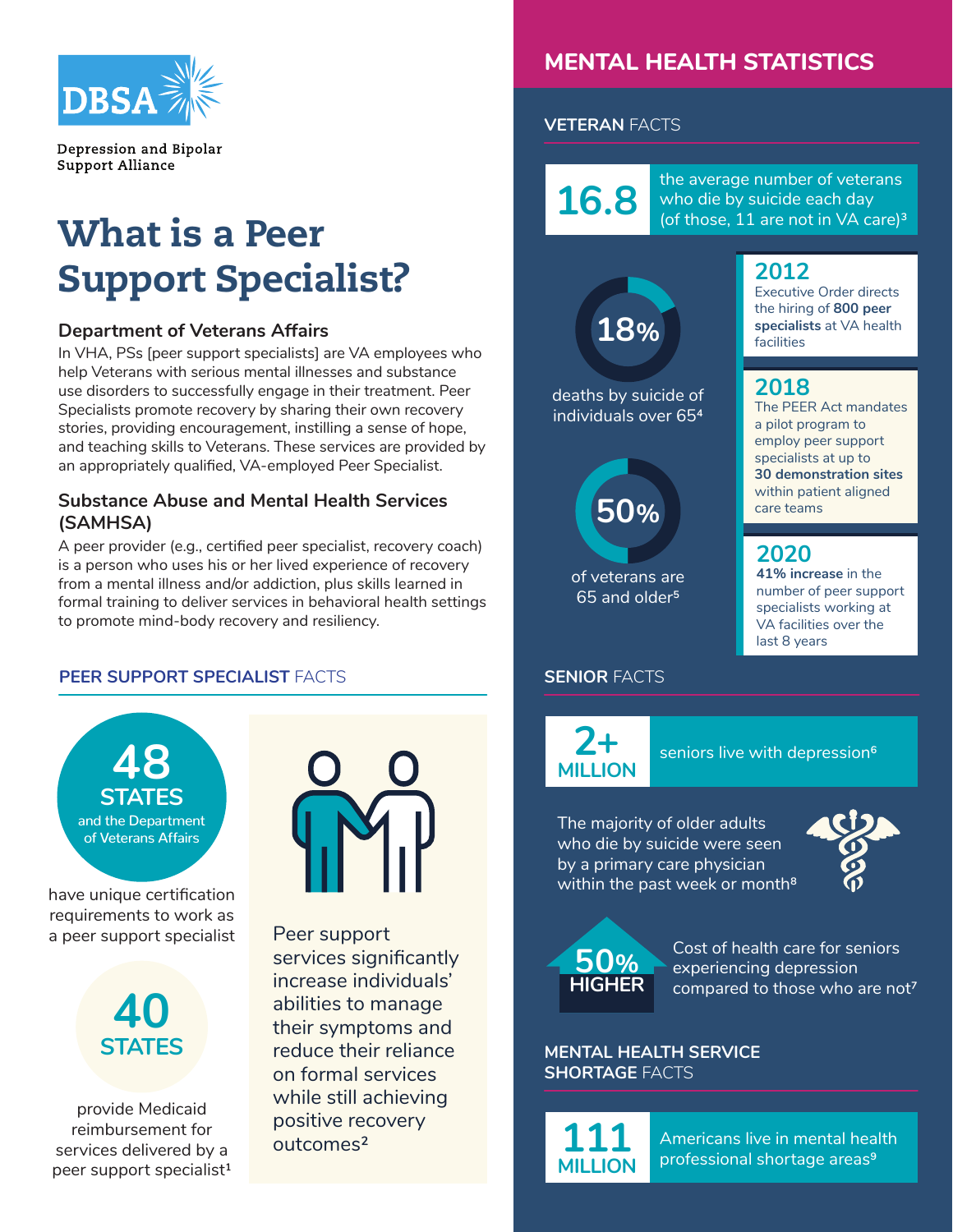

Depression and Bipolar Support Alliance

# What is a Peer Support Specialist?

#### **Department of Veterans Affairs**

In VHA, PSs [peer support specialists] are VA employees who help Veterans with serious mental illnesses and substance use disorders to successfully engage in their treatment. Peer Specialists promote recovery by sharing their own recovery stories, providing encouragement, instilling a sense of hope, and teaching skills to Veterans. These services are provided by an appropriately qualified, VA-employed Peer Specialist.

#### **Substance Abuse and Mental Health Services (SAMHSA)**

A peer provider (e.g., certified peer specialist, recovery coach) is a person who uses his or her lived experience of recovery from a mental illness and/or addiction, plus skills learned in formal training to deliver services in behavioral health settings to promote mind-body recovery and resiliency.

#### **PEER SUPPORT SPECIALIST FACTS <b>SENIOR FACTS**



provide Medicaid reimbursement for services delivered by a peer support specialist<sup>1</sup>



Peer support services significantly increase individuals' abilities to manage their symptoms and reduce their reliance on formal services while still achieving positive recovery outcomes²

## **MENTAL HEALTH STATISTICS**

#### **VETERAN** FACTS

deaths by suicide of individuals over 654

> of veterans are 65 and older5

**50%**

**18%**

the average number of veterans<br>
who die by suicide each day who die by suicide each day (of those, 11 are not in VA care)<sup>3</sup>

### **2012**

Executive Order directs the hiring of **800 peer specialists** at VA health facilities

### **2018**

The PEER Act mandates a pilot program to employ peer support specialists at up to **30 demonstration sites**  within patient aligned care teams

**2020**

**41% increase** in the number of peer support specialists working at VA facilities over the last 8 years

**2+ MILLION** seniors live with depression<sup>6</sup>

The majority of older adults who die by suicide were seen by a primary care physician within the past week or month<sup>8</sup>



**50% HIGHER**

Cost of health care for seniors experiencing depression compared to those who are not7

**MENTAL HEALTH SERVICE SHORTAGE** FACTS

**111 MILLION**

Americans live in mental health professional shortage areas9